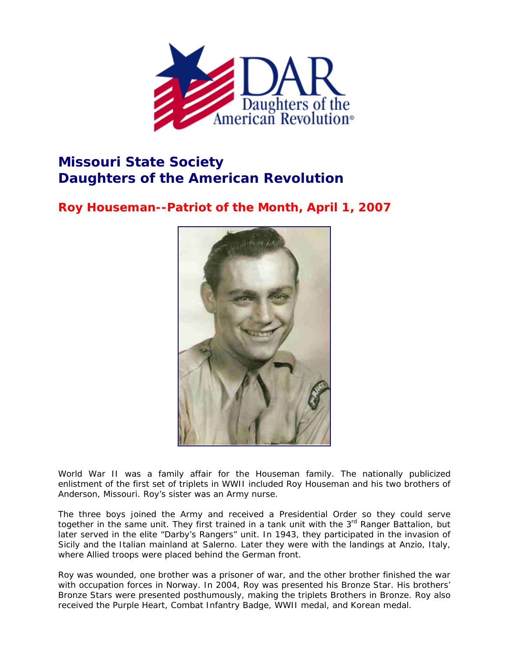

## **Missouri State Society Daughters of the American Revolution**

## **Roy Houseman--Patriot of the Month, April 1, 2007**



World War II was a family affair for the Houseman family. The nationally publicized enlistment of the first set of triplets in WWII included Roy Houseman and his two brothers of Anderson, Missouri. Roy's sister was an Army nurse.

The three boys joined the Army and received a Presidential Order so they could serve together in the same unit. They first trained in a tank unit with the 3<sup>rd</sup> Ranger Battalion, but later served in the elite "Darby's Rangers" unit. In 1943, they participated in the invasion of Sicily and the Italian mainland at Salerno. Later they were with the landings at Anzio, Italy, where Allied troops were placed behind the German front.

Roy was wounded, one brother was a prisoner of war, and the other brother finished the war with occupation forces in Norway. In 2004, Roy was presented his Bronze Star. His brothers' Bronze Stars were presented posthumously, making the triplets Brothers in Bronze. Roy also received the Purple Heart, Combat Infantry Badge, WWII medal, and Korean medal.